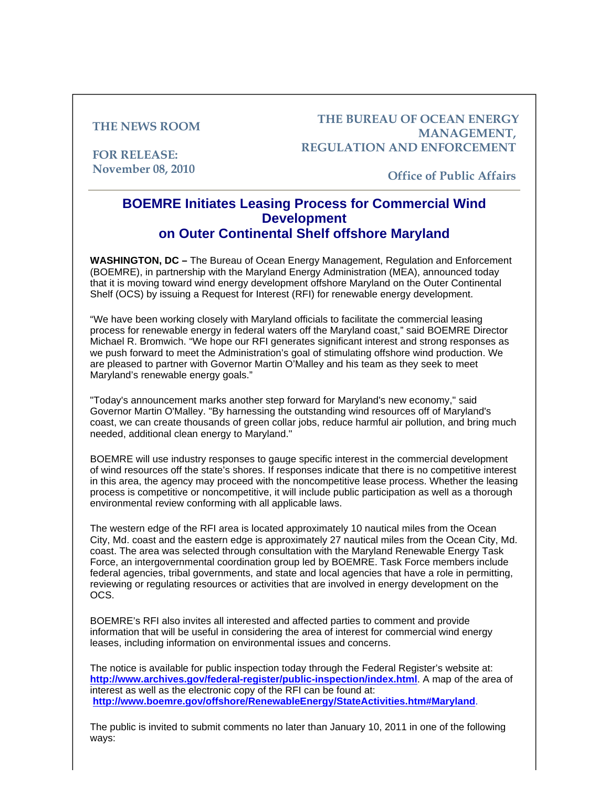## **THE NEWS ROOM**

**FOR RELEASE: November 08, 2010**

## **THE BUREAU OF OCEAN ENERGY MANAGEMENT, REGULATION AND ENFORCEMENT**

**Office of Public Affairs**

## **BOEMRE Initiates Leasing Process for Commercial Wind Development on Outer Continental Shelf offshore Maryland**

**WASHINGTON, DC –** The Bureau of Ocean Energy Management, Regulation and Enforcement (BOEMRE), in partnership with the Maryland Energy Administration (MEA), announced today that it is moving toward wind energy development offshore Maryland on the Outer Continental Shelf (OCS) by issuing a Request for Interest (RFI) for renewable energy development.

"We have been working closely with Maryland officials to facilitate the commercial leasing process for renewable energy in federal waters off the Maryland coast," said BOEMRE Director Michael R. Bromwich. "We hope our RFI generates significant interest and strong responses as we push forward to meet the Administration's goal of stimulating offshore wind production. We are pleased to partner with Governor Martin O'Malley and his team as they seek to meet Maryland's renewable energy goals."

"Today's announcement marks another step forward for Maryland's new economy," said Governor Martin O'Malley. "By harnessing the outstanding wind resources off of Maryland's coast, we can create thousands of green collar jobs, reduce harmful air pollution, and bring much needed, additional clean energy to Maryland."

BOEMRE will use industry responses to gauge specific interest in the commercial development of wind resources off the state's shores. If responses indicate that there is no competitive interest in this area, the agency may proceed with the noncompetitive lease process. Whether the leasing process is competitive or noncompetitive, it will include public participation as well as a thorough environmental review conforming with all applicable laws.

The western edge of the RFI area is located approximately 10 nautical miles from the Ocean City, Md. coast and the eastern edge is approximately 27 nautical miles from the Ocean City, Md. coast. The area was selected through consultation with the Maryland Renewable Energy Task Force, an intergovernmental coordination group led by BOEMRE. Task Force members include federal agencies, tribal governments, and state and local agencies that have a role in permitting, reviewing or regulating resources or activities that are involved in energy development on the OCS.

BOEMRE's RFI also invites all interested and affected parties to comment and provide information that will be useful in considering the area of interest for commercial wind energy leases, including information on environmental issues and concerns.

The notice is available for public inspection today through the Federal Register's website at: **http://www.archives.gov/federal-register/public-inspection/index.html**. A map of the area of interest as well as the electronic copy of the RFI can be found at: **http://www.boemre.gov/offshore/RenewableEnergy/StateActivities.htm#Maryland**.

The public is invited to submit comments no later than January 10, 2011 in one of the following ways: